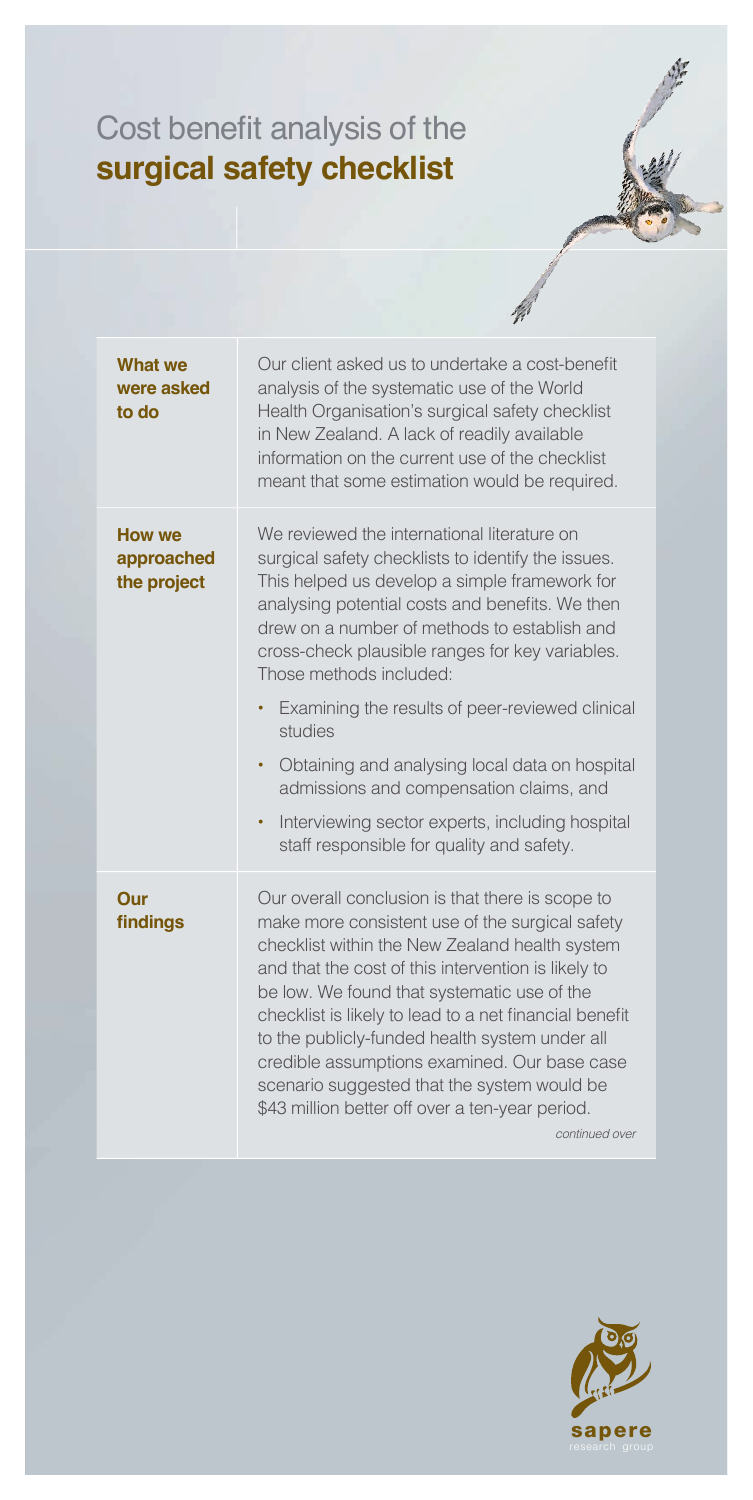## Cost benefit analysis of the surgical safety checklist

| <b>What we</b><br>were asked<br>to do      | Our client asked us to undertake a cost-benefit<br>analysis of the systematic use of the World<br>Health Organisation's surgical safety checklist<br>in New Zealand. A lack of readily available<br>information on the current use of the checklist<br>meant that some estimation would be required.                                                                                                                                                                                                                                                                                                                                  |
|--------------------------------------------|---------------------------------------------------------------------------------------------------------------------------------------------------------------------------------------------------------------------------------------------------------------------------------------------------------------------------------------------------------------------------------------------------------------------------------------------------------------------------------------------------------------------------------------------------------------------------------------------------------------------------------------|
| <b>How we</b><br>approached<br>the project | We reviewed the international literature on<br>surgical safety checklists to identify the issues.<br>This helped us develop a simple framework for<br>analysing potential costs and benefits. We then<br>drew on a number of methods to establish and<br>cross-check plausible ranges for key variables.<br>Those methods included:<br>Examining the results of peer-reviewed clinical<br>$\bullet$<br>studies<br>Obtaining and analysing local data on hospital<br>$\bullet$<br>admissions and compensation claims, and<br>Interviewing sector experts, including hospital<br>$\bullet$<br>staff responsible for quality and safety. |
| Our<br>findings                            | Our overall conclusion is that there is scope to<br>make more consistent use of the surgical safety<br>checklist within the New Zealand health system<br>and that the cost of this intervention is likely to<br>be low. We found that systematic use of the<br>checklist is likely to lead to a net financial benefit<br>to the publicly-funded health system under all<br>credible assumptions examined. Our base case<br>scenario suggested that the system would be<br>\$43 million better off over a ten-year period.<br>continued over                                                                                           |